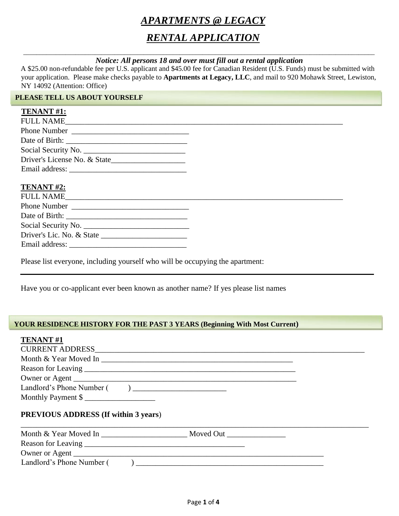# *APARTMENTS @ LEGACY*

# *RENTAL APPLICATION*

#### *\_\_\_\_\_\_\_\_\_\_\_\_\_\_\_\_\_\_\_\_\_\_\_\_\_\_\_\_\_\_\_\_\_\_\_\_\_\_\_\_\_\_\_\_\_\_\_\_\_\_\_\_\_\_\_\_\_\_\_\_\_\_\_\_\_\_\_\_\_\_\_\_\_\_\_\_\_\_\_\_\_\_\_\_\_\_\_\_\_\_\_\_\_\_\_\_\_\_\_\_\_\_\_\_\_\_\_\_ Notice: All persons 18 and over must fill out a rental application*

A \$25.00 non-refundable fee per U.S. applicant and \$45.00 fee for Canadian Resident (U.S. Funds) must be submitted with your application. Please make checks payable to **Apartments at Legacy, LLC**, and mail to 920 Mohawk Street, Lewiston, NY 14092 (Attention: Office)

#### **PLEASE TELL US ABOUT YOURSELF**

#### **TENANT #1:**

| <b>FULL NAME</b>             |  |
|------------------------------|--|
|                              |  |
|                              |  |
| Social Security No.          |  |
| Driver's License No. & State |  |
|                              |  |
|                              |  |

#### **TENANT #2:**

| FULL NAME    |  |
|--------------|--|
| Phone Number |  |
|              |  |
|              |  |
|              |  |
|              |  |

Please list everyone, including yourself who will be occupying the apartment:

Have you or co-applicant ever been known as another name? If yes please list names

#### **YOUR RESIDENCE HISTORY FOR THE PAST 3 YEARS (Beginning With Most Current)**

| <b>TENANT#1</b>                             |  |
|---------------------------------------------|--|
|                                             |  |
|                                             |  |
|                                             |  |
|                                             |  |
|                                             |  |
|                                             |  |
| <b>PREVIOUS ADDRESS (If within 3 years)</b> |  |
|                                             |  |
|                                             |  |
|                                             |  |
| Landlord's Phone Number ()                  |  |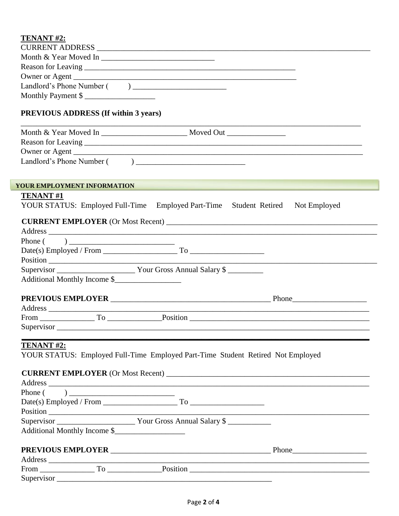| TENANT #2:                                                                                                    |                                                                                                                      |
|---------------------------------------------------------------------------------------------------------------|----------------------------------------------------------------------------------------------------------------------|
|                                                                                                               |                                                                                                                      |
| Month & Year Moved In                                                                                         |                                                                                                                      |
|                                                                                                               |                                                                                                                      |
| Owner or Agent                                                                                                |                                                                                                                      |
|                                                                                                               |                                                                                                                      |
| Monthly Payment \$                                                                                            |                                                                                                                      |
| <b>PREVIOUS ADDRESS (If within 3 years)</b>                                                                   |                                                                                                                      |
|                                                                                                               |                                                                                                                      |
|                                                                                                               |                                                                                                                      |
|                                                                                                               |                                                                                                                      |
|                                                                                                               |                                                                                                                      |
|                                                                                                               |                                                                                                                      |
| YOUR EMPLOYMENT INFORMATION                                                                                   | <u> 1990 - Jan James James James James James James James James James James James James James James James James J</u> |
| <b>TENANT#1</b>                                                                                               |                                                                                                                      |
| YOUR STATUS: Employed Full-Time Employed Part-Time Student Retired Not Employed                               |                                                                                                                      |
|                                                                                                               |                                                                                                                      |
|                                                                                                               |                                                                                                                      |
|                                                                                                               |                                                                                                                      |
|                                                                                                               |                                                                                                                      |
|                                                                                                               |                                                                                                                      |
|                                                                                                               |                                                                                                                      |
| Additional Monthly Income \$                                                                                  |                                                                                                                      |
|                                                                                                               |                                                                                                                      |
|                                                                                                               |                                                                                                                      |
|                                                                                                               |                                                                                                                      |
|                                                                                                               | $From ________ To ________ Po-$                                                                                      |
| Supervisor Supervisor Supervisor Supervisor Supervisor Supervisor Supervisor Supervisor Supervisor Supervisor |                                                                                                                      |
|                                                                                                               |                                                                                                                      |
| <b>TENANT #2:</b>                                                                                             |                                                                                                                      |
| YOUR STATUS: Employed Full-Time Employed Part-Time Student Retired Not Employed                               |                                                                                                                      |
|                                                                                                               | <b>CURRENT EMPLOYER</b> (Or Most Recent)                                                                             |
|                                                                                                               |                                                                                                                      |
|                                                                                                               |                                                                                                                      |
|                                                                                                               |                                                                                                                      |
|                                                                                                               |                                                                                                                      |
|                                                                                                               |                                                                                                                      |
| Additional Monthly Income \$                                                                                  |                                                                                                                      |
|                                                                                                               |                                                                                                                      |
| <b>PREVIOUS EMPLOYER</b>                                                                                      | Phone                                                                                                                |

| Address    |   |          |  |
|------------|---|----------|--|
| From       | ᅲ | Position |  |
| Supervisor |   |          |  |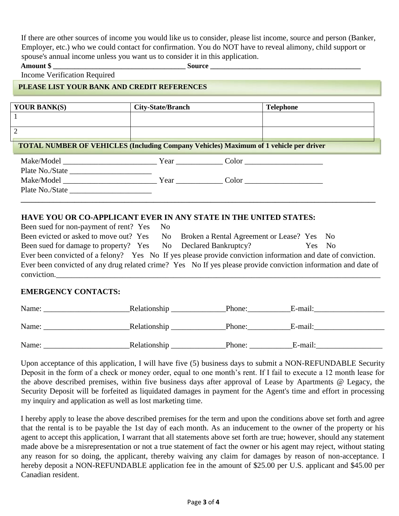If there are other sources of income you would like us to consider, please list income, source and person (Banker, Employer, etc.) who we could contact for confirmation. You do NOT have to reveal alimony, child support or spouse's annual income unless you want us to consider it in this application.

**Amount \$ \_\_\_\_\_\_\_\_\_\_\_\_\_\_\_\_\_\_\_\_\_\_\_\_\_\_\_\_\_\_\_\_\_\_\_\_\_ Source \_\_\_\_\_\_\_\_\_\_\_\_\_\_\_\_\_\_\_\_\_\_\_\_\_\_\_\_\_\_\_\_\_\_\_\_\_\_\_\_\_\_** 

Income Verification Required

## **PLEASE LIST YOUR BANK AND CREDIT REFERENCES**

| <b>YOUR BANK(S)</b> | <b>City-State/Branch</b> | <b>Telephone</b>                                                                             |
|---------------------|--------------------------|----------------------------------------------------------------------------------------------|
|                     |                          |                                                                                              |
|                     |                          |                                                                                              |
|                     |                          | <b>TOTAL NUMBER OF VEHICLES (Including Company Vehicles) Maximum of 1 vehicle per driver</b> |
|                     |                          | Make/Model Year Color                                                                        |
| Plate No./State     |                          |                                                                                              |
| Make/Model          |                          | Year Color                                                                                   |
| Plate No./State     |                          |                                                                                              |

#### **HAVE YOU OR CO-APPLICANT EVER IN ANY STATE IN THE UNITED STATES:**

| Been sued for non-payment of rent? Yes No                                                                      |  |        |  |
|----------------------------------------------------------------------------------------------------------------|--|--------|--|
| Been evicted or asked to move out? Yes No Broken a Rental Agreement or Lease? Yes No                           |  |        |  |
| Been sued for damage to property? Yes No Declared Bankruptcy?                                                  |  | Yes No |  |
| Ever been convicted of a felony? Yes No If yes please provide conviction information and date of conviction.   |  |        |  |
| Ever been convicted of any drug related crime? Yes No If yes please provide conviction information and date of |  |        |  |
| conviction.                                                                                                    |  |        |  |

**\_\_\_\_\_\_\_\_\_\_\_\_\_\_\_\_\_\_\_\_\_\_\_\_\_\_\_\_\_\_\_\_\_\_\_\_\_\_\_\_\_\_\_\_\_\_\_\_\_\_\_\_\_\_\_\_\_\_\_\_\_\_\_\_\_\_\_\_\_\_\_\_\_\_\_\_\_\_\_\_\_\_\_\_\_\_\_\_\_\_\_\_\_\_\_\_\_\_\_**

### **EMERGENCY CONTACTS:**

| Name: | Relationship | Phone: | E-mail: |
|-------|--------------|--------|---------|
|       |              |        |         |
| Name: | Relationship | Phone: | E-mail: |
| Name: | Relationship | Phone: | E-mail: |

Upon acceptance of this application, I will have five (5) business days to submit a NON-REFUNDABLE Security Deposit in the form of a check or money order, equal to one month's rent. If I fail to execute a 12 month lease for the above described premises, within five business days after approval of Lease by Apartments @ Legacy, the Security Deposit will be forfeited as liquidated damages in payment for the Agent's time and effort in processing my inquiry and application as well as lost marketing time.

I hereby apply to lease the above described premises for the term and upon the conditions above set forth and agree that the rental is to be payable the 1st day of each month. As an inducement to the owner of the property or his agent to accept this application, I warrant that all statements above set forth are true; however, should any statement made above be a misrepresentation or not a true statement of fact the owner or his agent may reject, without stating any reason for so doing, the applicant, thereby waiving any claim for damages by reason of non-acceptance. I hereby deposit a NON-REFUNDABLE application fee in the amount of \$25.00 per U.S. applicant and \$45.00 per Canadian resident.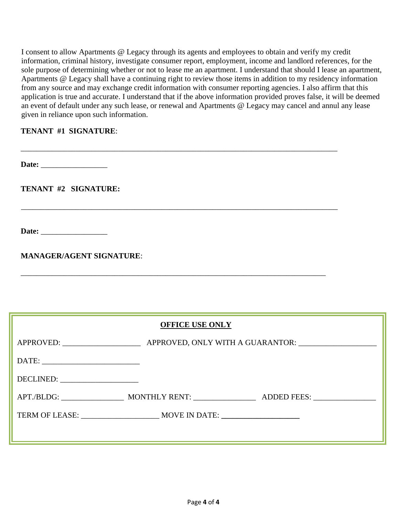I consent to allow Apartments @ Legacy through its agents and employees to obtain and verify my credit information, criminal history, investigate consumer report, employment, income and landlord references, for the sole purpose of determining whether or not to lease me an apartment. I understand that should I lease an apartment, Apartments @ Legacy shall have a continuing right to review those items in addition to my residency information from any source and may exchange credit information with consumer reporting agencies. I also affirm that this application is true and accurate. I understand that if the above information provided proves false, it will be deemed an event of default under any such lease, or renewal and Apartments @ Legacy may cancel and annul any lease given in reliance upon such information.

\_\_\_\_\_\_\_\_\_\_\_\_\_\_\_\_\_\_\_\_\_\_\_\_\_\_\_\_\_\_\_\_\_\_\_\_\_\_\_\_\_\_\_\_\_\_\_\_\_\_\_\_\_\_\_\_\_\_\_\_\_\_\_\_\_\_\_\_\_\_\_\_\_\_\_\_\_\_\_\_\_

\_\_\_\_\_\_\_\_\_\_\_\_\_\_\_\_\_\_\_\_\_\_\_\_\_\_\_\_\_\_\_\_\_\_\_\_\_\_\_\_\_\_\_\_\_\_\_\_\_\_\_\_\_\_\_\_\_\_\_\_\_\_\_\_\_\_\_\_\_\_\_\_\_\_\_\_\_\_\_\_\_

\_\_\_\_\_\_\_\_\_\_\_\_\_\_\_\_\_\_\_\_\_\_\_\_\_\_\_\_\_\_\_\_\_\_\_\_\_\_\_\_\_\_\_\_\_\_\_\_\_\_\_\_\_\_\_\_\_\_\_\_\_\_\_\_\_\_\_\_\_\_\_\_\_\_\_\_\_\_

### **TENANT #1 SIGNATURE**:

Date:

**TENANT #2 SIGNATURE:**

Date:

**MANAGER/AGENT SIGNATURE**:

## **OFFICE USE ONLY**

| DECLINED: |  |
|-----------|--|
|           |  |
|           |  |
|           |  |